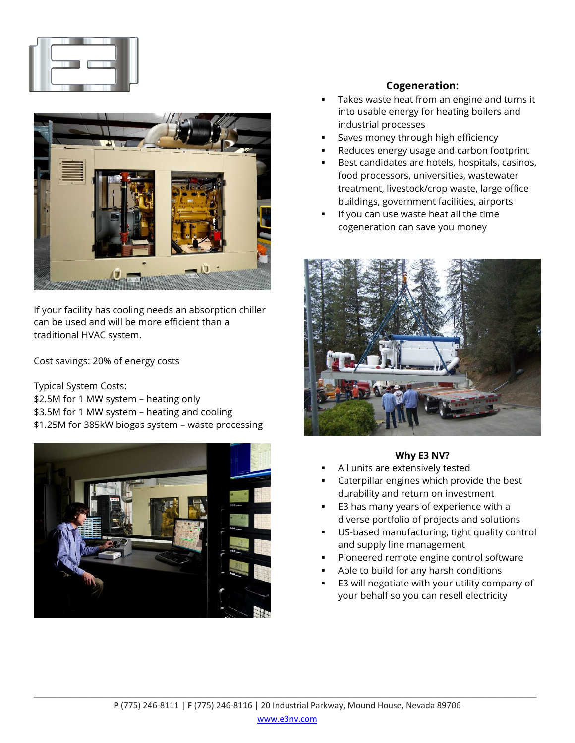



If your facility has cooling needs an absorption chiller can be used and will be more efficient than a traditional HVAC system.

Cost savings: 20% of energy costs

Typical System Costs:

\$2.5M for 1 MW system – heating only

\$3.5M for 1 MW system – heating and cooling

\$1.25M for 385kW biogas system – waste processing



# **Cogeneration:**

- Takes waste heat from an engine and turns it into usable energy for heating boilers and industrial processes
- Saves money through high efficiency
- Reduces energy usage and carbon footprint
- Best candidates are hotels, hospitals, casinos, food processors, universities, wastewater treatment, livestock/crop waste, large office buildings, government facilities, airports
- If you can use waste heat all the time cogeneration can save you money



### **Why E3 NV?**

- All units are extensively tested
- Caterpillar engines which provide the best durability and return on investment
- E3 has many years of experience with a diverse portfolio of projects and solutions
- US-based manufacturing, tight quality control and supply line management
- Pioneered remote engine control software
- Able to build for any harsh conditions
- E3 will negotiate with your utility company of your behalf so you can resell electricity